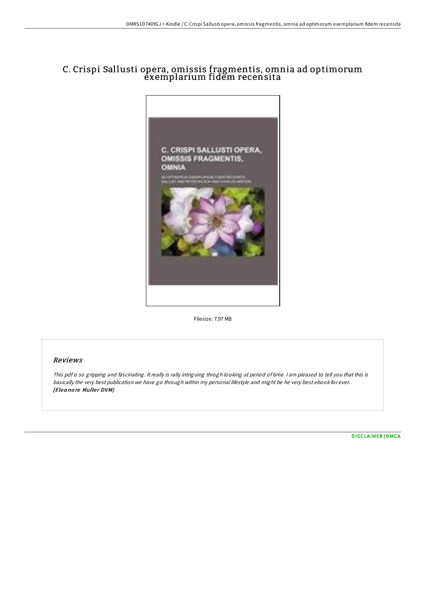# C. Crispi Sallusti opera, omissis fragmentis, omnia ad optimorum exemplarium fidem recensita



Filesize: 7.97 MB

### Reviews

This pdf is so gripping and fascinating. It really is rally intriguing throgh looking at period of time. I am pleased to tell you that this is basically the very best publication we have go through within my personal lifestyle and might be he very best ebook for ever. (Eleonore Muller DVM)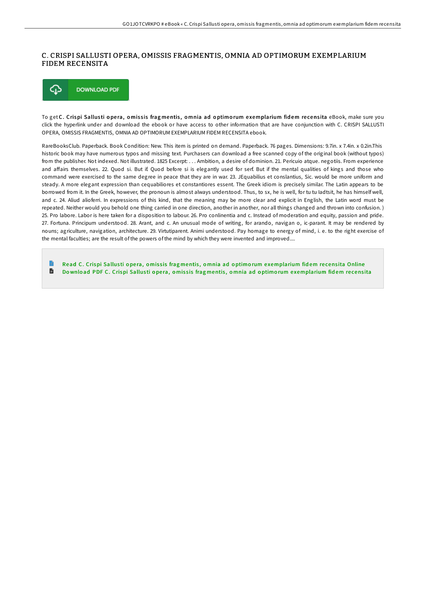### C. CRISPI SALLUSTI OPERA, OMISSIS FRAGMENTIS, OMNIA AD OPTIMORUM EXEMPLARIUM FIDEM RECENSITA



To get C. Crispi Sallusti opera, omissis fragmentis, omnia ad optimorum exemplarium fidem recensita eBook, make sure you click the hyperlink under and download the ebook or have access to other information that are have conjunction with C. CRISPI SALLUSTI OPERA, OMISSIS FRAGMENTIS, OMNIA AD OPTIMORUM EXEMPLARIUM FIDEM RECENSITA ebook.

RareBooksClub. Paperback. Book Condition: New. This item is printed on demand. Paperback. 76 pages. Dimensions: 9.7in. x 7.4in. x 0.2in.This historic book may have numerous typos and missing text. Purchasers can download a free scanned copy of the original book (without typos) from the publisher. Not indexed. Not illustrated. 1825 Excerpt: . . . Ambition, a desire of dominion. 21. Pericuio atque. negotiis. From experience and affairs themselves. 22. Quod si. But if. Quod before si is elegantly used for serf. But if the mental qualities of kings and those who command were exercised to the same degree in peace that they are in war. 23. JEquabilius et conslantius, Sic. would be more uniform and steady. A more elegant expression than cequabiliores et constantiores essent. The Greek idiom is precisely similar. The Latin appears to be borrowed from it. In the Greek, however, the pronoun is almost always understood. Thus, to sx, he is well, for tu tu Iadtsit, he has himself well, and c. 24. Aliud alioferri. In expressions of this kind, that the meaning may be more clear and explicit in English, the Latin word must be repeated. Neither would you behold one thing carried in one direction, another in another, nor all things changed and thrown into confusion. ) 25. Pro labore. Labor is here taken for a disposition to labour. 26. Pro conlinentia and c. Instead of moderation and equity, passion and pride. 27. Fortuna. Principum understood. 28. Arant, and c. An unusual mode of writing, for arando, navigan o, ic-parant. It may be rendered by nouns; agriculture, navigation, architecture. 29. Virtutiparent. Animi understood. Pay homage to energy of mind, i. e. to the right exercise of the mental faculties; are the result of the powers of the mind by which they were invented and improved....

Read C. Crispi Sallusti opera, omissis fragmentis, omnia ad optimorum e[xemplarium](http://almighty24.tech/c-crispi-sallusti-opera-omissis-fragmentis-omnia.html) fidem recensita Online  $\blacksquare$ Download PDF C. Crispi Sallusti opera, omissis fragmentis, omnia ad optimorum e[xemplarium](http://almighty24.tech/c-crispi-sallusti-opera-omissis-fragmentis-omnia.html) fidem recensita